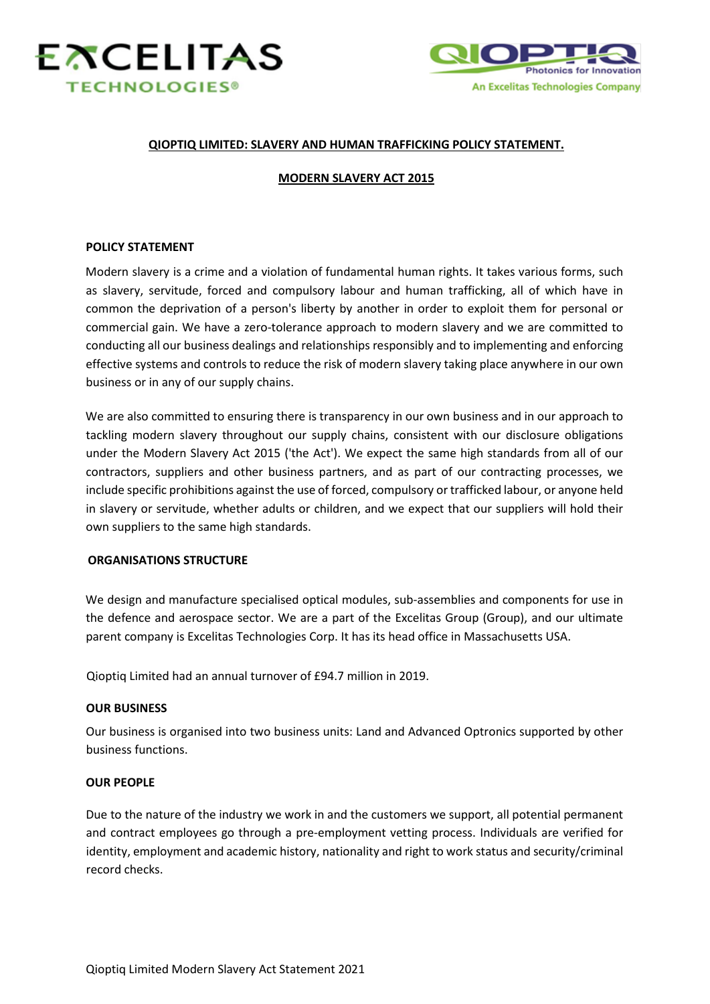



## **QIOPTIQ LIMITED: SLAVERY AND HUMAN TRAFFICKING POLICY STATEMENT.**

### **MODERN SLAVERY ACT 2015**

### **POLICY STATEMENT**

Modern slavery is a crime and a violation of fundamental human rights. It takes various forms, such as slavery, servitude, forced and compulsory labour and human trafficking, all of which have in common the deprivation of a person's liberty by another in order to exploit them for personal or commercial gain. We have a zero-tolerance approach to modern slavery and we are committed to conducting all our business dealings and relationships responsibly and to implementing and enforcing effective systems and controls to reduce the risk of modern slavery taking place anywhere in our own business or in any of our supply chains.

We are also committed to ensuring there is transparency in our own business and in our approach to tackling modern slavery throughout our supply chains, consistent with our disclosure obligations under the Modern Slavery Act 2015 ('the Act'). We expect the same high standards from all of our contractors, suppliers and other business partners, and as part of our contracting processes, we include specific prohibitions against the use of forced, compulsory or trafficked labour, or anyone held in slavery or servitude, whether adults or children, and we expect that our suppliers will hold their own suppliers to the same high standards.

### **ORGANISATIONS STRUCTURE**

We design and manufacture specialised optical modules, sub-assemblies and components for use in the defence and aerospace sector. We are a part of the Excelitas Group (Group), and our ultimate parent company is Excelitas Technologies Corp. It has its head office in Massachusetts USA.

Qioptiq Limited had an annual turnover of £94.7 million in 2019.

### **OUR BUSINESS**

Our business is organised into two business units: Land and Advanced Optronics supported by other business functions.

### **OUR PEOPLE**

Due to the nature of the industry we work in and the customers we support, all potential permanent and contract employees go through a pre-employment vetting process. Individuals are verified for identity, employment and academic history, nationality and right to work status and security/criminal record checks.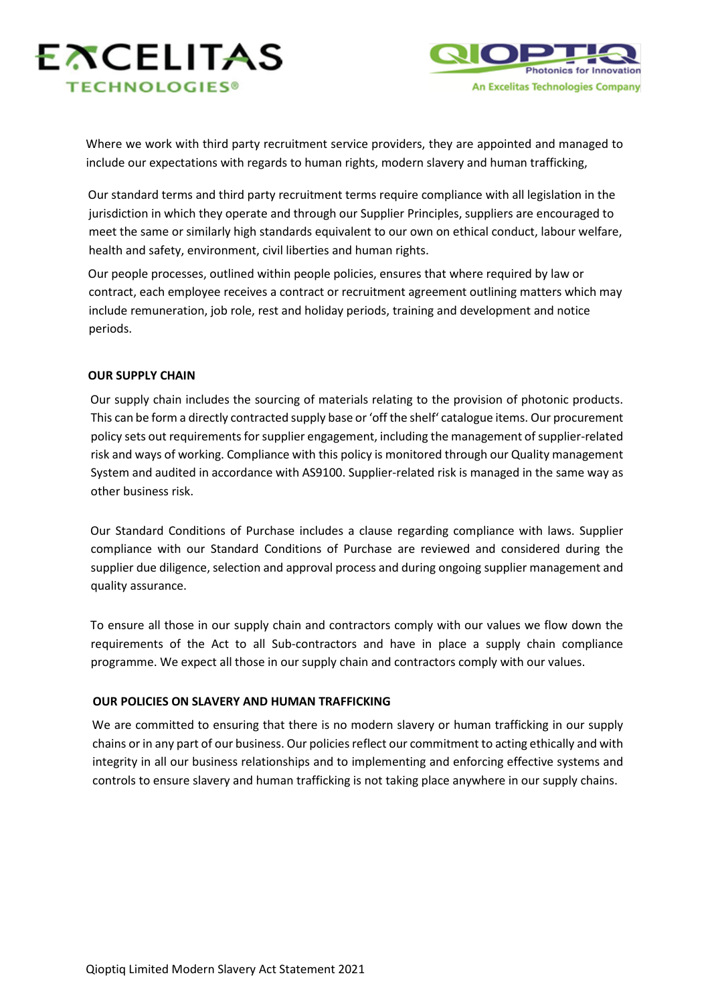



Where we work with third party recruitment service providers, they are appointed and managed to include our expectations with regards to human rights, modern slavery and human trafficking,

Our standard terms and third party recruitment terms require compliance with all legislation in the jurisdiction in which they operate and through our Supplier Principles, suppliers are encouraged to meet the same or similarly high standards equivalent to our own on ethical conduct, labour welfare, health and safety, environment, civil liberties and human rights.

Our people processes, outlined within people policies, ensures that where required by law or contract, each employee receives a contract or recruitment agreement outlining matters which may include remuneration, job role, rest and holiday periods, training and development and notice periods.

# **OUR SUPPLY CHAIN**

Our supply chain includes the sourcing of materials relating to the provision of photonic products. This can be form a directly contracted supply base or 'off the shelf' catalogue items. Our procurement policy sets out requirements for supplier engagement, including the management of supplier-related risk and ways of working. Compliance with this policy is monitored through our Quality management System and audited in accordance with AS9100. Supplier-related risk is managed in the same way as other business risk.

Our Standard Conditions of Purchase includes a clause regarding compliance with laws. Supplier compliance with our Standard Conditions of Purchase are reviewed and considered during the supplier due diligence, selection and approval process and during ongoing supplier management and quality assurance.

To ensure all those in our supply chain and contractors comply with our values we flow down the requirements of the Act to all Sub-contractors and have in place a supply chain compliance programme. We expect all those in our supply chain and contractors comply with our values.

# **OUR POLICIES ON SLAVERY AND HUMAN TRAFFICKING**

We are committed to ensuring that there is no modern slavery or human trafficking in our supply chains or in any part of our business. Our policies reflect our commitment to acting ethically and with integrity in all our business relationships and to implementing and enforcing effective systems and controls to ensure slavery and human trafficking is not taking place anywhere in our supply chains.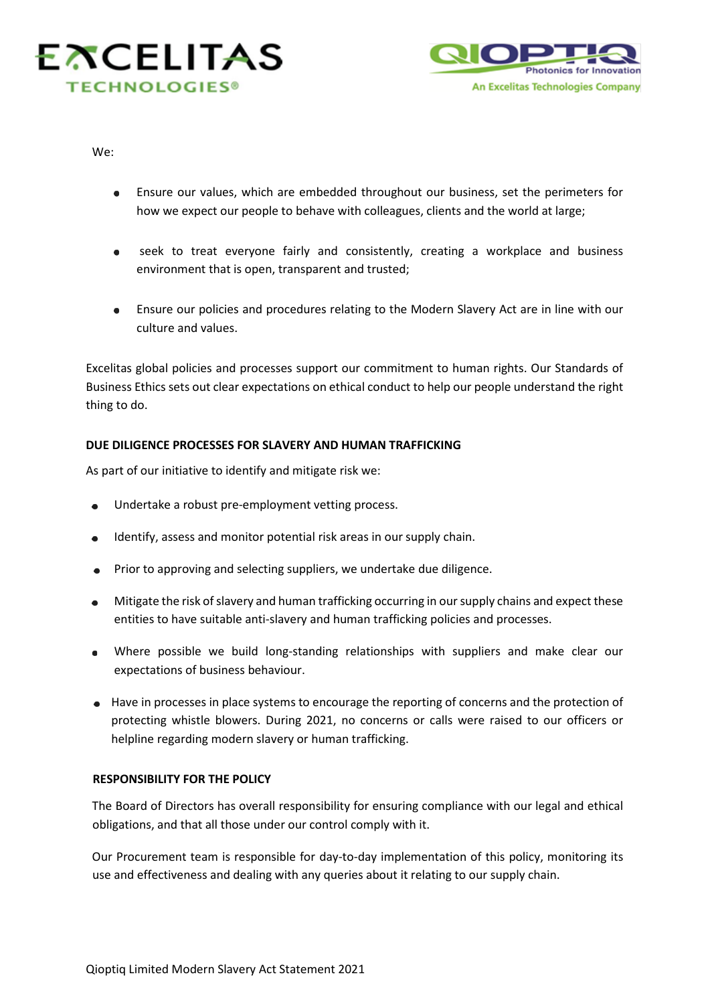



We:

- Ensure our values, which are embedded throughout our business, set the perimeters for how we expect our people to behave with colleagues, clients and the world at large;
- seek to treat everyone fairly and consistently, creating a workplace and business  $\bullet$ environment that is open, transparent and trusted;
- Ensure our policies and procedures relating to the Modern Slavery Act are in line with our culture and values.

Excelitas global policies and processes support our commitment to human rights. Our Standards of Business Ethics sets out clear expectations on ethical conduct to help our people understand the right thing to do.

# **DUE DILIGENCE PROCESSES FOR SLAVERY AND HUMAN TRAFFICKING**

As part of our initiative to identify and mitigate risk we:

- Undertake a robust pre-employment vetting process.
- Identify, assess and monitor potential risk areas in our supply chain.
- Prior to approving and selecting suppliers, we undertake due diligence.
- Mitigate the risk of slavery and human trafficking occurring in our supply chains and expect these entities to have suitable anti-slavery and human trafficking policies and processes.
- Where possible we build long-standing relationships with suppliers and make clear our expectations of business behaviour.
- Have in processes in place systems to encourage the reporting of concerns and the protection of protecting whistle blowers. During 2021, no concerns or calls were raised to our officers or helpline regarding modern slavery or human trafficking.

# **RESPONSIBILITY FOR THE POLICY**

The Board of Directors has overall responsibility for ensuring compliance with our legal and ethical obligations, and that all those under our control comply with it.

Our Procurement team is responsible for day-to-day implementation of this policy, monitoring its use and effectiveness and dealing with any queries about it relating to our supply chain.